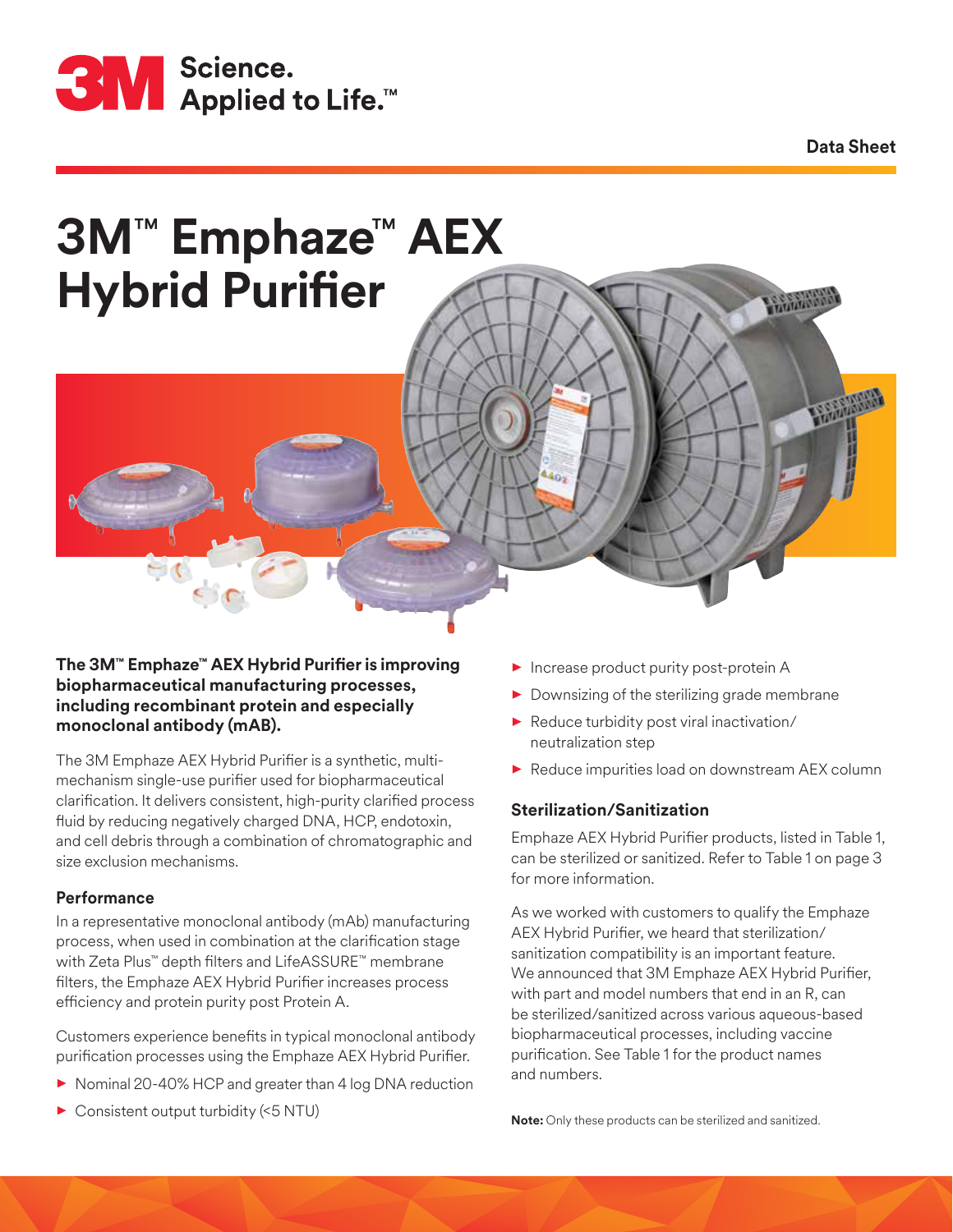

**Data Sheet**

**CALIFORNIA** 

# **3M**™ **Emphaze**™ **AEX Hybrid Purifier**



## **The 3M™ Emphaze™ AEX Hybrid Purifier is improving biopharmaceutical manufacturing processes, including recombinant protein and especially monoclonal antibody (mAB).**

The 3M Emphaze AEX Hybrid Purifier is a synthetic, multimechanism single-use purifier used for biopharmaceutical clarification. It delivers consistent, high-purity clarified process fluid by reducing negatively charged DNA, HCP, endotoxin, and cell debris through a combination of chromatographic and size exclusion mechanisms.

## **Performance**

In a representative monoclonal antibody (mAb) manufacturing process, when used in combination at the clarification stage with Zeta Plus™ depth filters and LifeASSURE™ membrane filters, the Emphaze AEX Hybrid Purifier increases process efficiency and protein purity post Protein A.

Customers experience benefits in typical monoclonal antibody purification processes using the Emphaze AEX Hybrid Purifier.

- ▶ Nominal 20-40% HCP and greater than 4 log DNA reduction
- Consistent output turbidity (<5 NTU)
- **Increase product purity post-protein A**
- $\blacktriangleright$  Downsizing of the sterilizing grade membrane
- Reduce turbidity post viral inactivation/ neutralization step
- Reduce impurities load on downstream AEX column

## **Sterilization/Sanitization**

Emphaze AEX Hybrid Purifier products, listed in Table 1, can be sterilized or sanitized. Refer to Table 1 on page 3 for more information.

As we worked with customers to qualify the Emphaze AEX Hybrid Purifier, we heard that sterilization/ sanitization compatibility is an important feature. We announced that 3M Emphaze AEX Hybrid Purifier, with part and model numbers that end in an R, can be sterilized/sanitized across various aqueous-based biopharmaceutical processes, including vaccine purification. See Table 1 for the product names and numbers.

**Note:** Only these products can be sterilized and sanitized.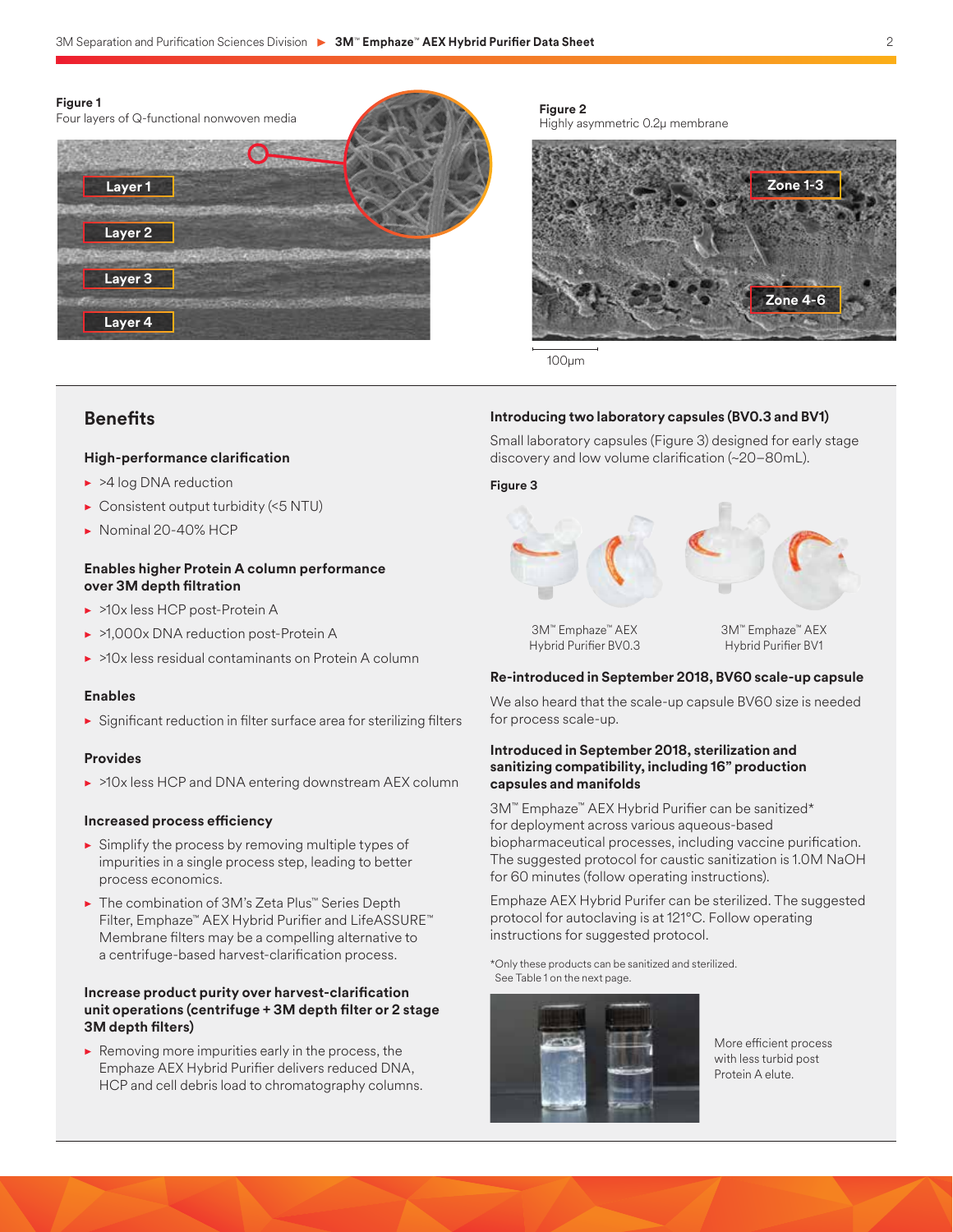

**Figure 2** Highly asymmetric 0.2µ membrane



100μm

# **Benefits**

**Layer 4**

#### **High-performance clarification**

- ▶ >4 log DNA reduction
- Consistent output turbidity (<5 NTU)
- Nominal 20-40% HCP

#### **Enables higher Protein A column performance over 3M depth filtration**

- ▶ >10x less HCP post-Protein A
- ▶ >1,000x DNA reduction post-Protein A
- >10x less residual contaminants on Protein A column

#### **Enables**

• Significant reduction in filter surface area for sterilizing filters

#### **Provides**

• >10x less HCP and DNA entering downstream AEX column

#### **Increased process efficiency**

- $\triangleright$  Simplify the process by removing multiple types of impurities in a single process step, leading to better process economics.
- The combination of 3M's Zeta Plus™ Series Depth Filter, Emphaze™ AEX Hybrid Purifier and LifeASSURE™ Membrane filters may be a compelling alternative to a centrifuge-based harvest-clarification process.

#### **Increase product purity over harvest-clarification unit operations (centrifuge + 3M depth filter or 2 stage 3M depth filters)**

 $\blacktriangleright$  Removing more impurities early in the process, the Emphaze AEX Hybrid Purifier delivers reduced DNA, HCP and cell debris load to chromatography columns.

#### **Introducing two laboratory capsules (BV0.3 and BV1)**

Small laboratory capsules (Figure 3) designed for early stage discovery and low volume clarification (~20–80mL).

#### **Figure 3**



Hybrid Purifier BV0.3

Hybrid Purifier BV1

#### **Re-introduced in September 2018, BV60 scale-up capsule**

We also heard that the scale-up capsule BV60 size is needed for process scale-up.

#### **Introduced in September 2018, sterilization and sanitizing compatibility, including 16" production capsules and manifolds**

3M™ Emphaze™ AEX Hybrid Purifier can be sanitized\* for deployment across various aqueous-based biopharmaceutical processes, including vaccine purification. The suggested protocol for caustic sanitization is 1.0M NaOH for 60 minutes (follow operating instructions).

Emphaze AEX Hybrid Purifer can be sterilized. The suggested protocol for autoclaving is at 121°C. Follow operating instructions for suggested protocol.

\*Only these products can be sanitized and sterilized. See Table 1 on the next page.



More efficient process with less turbid post Protein A elute.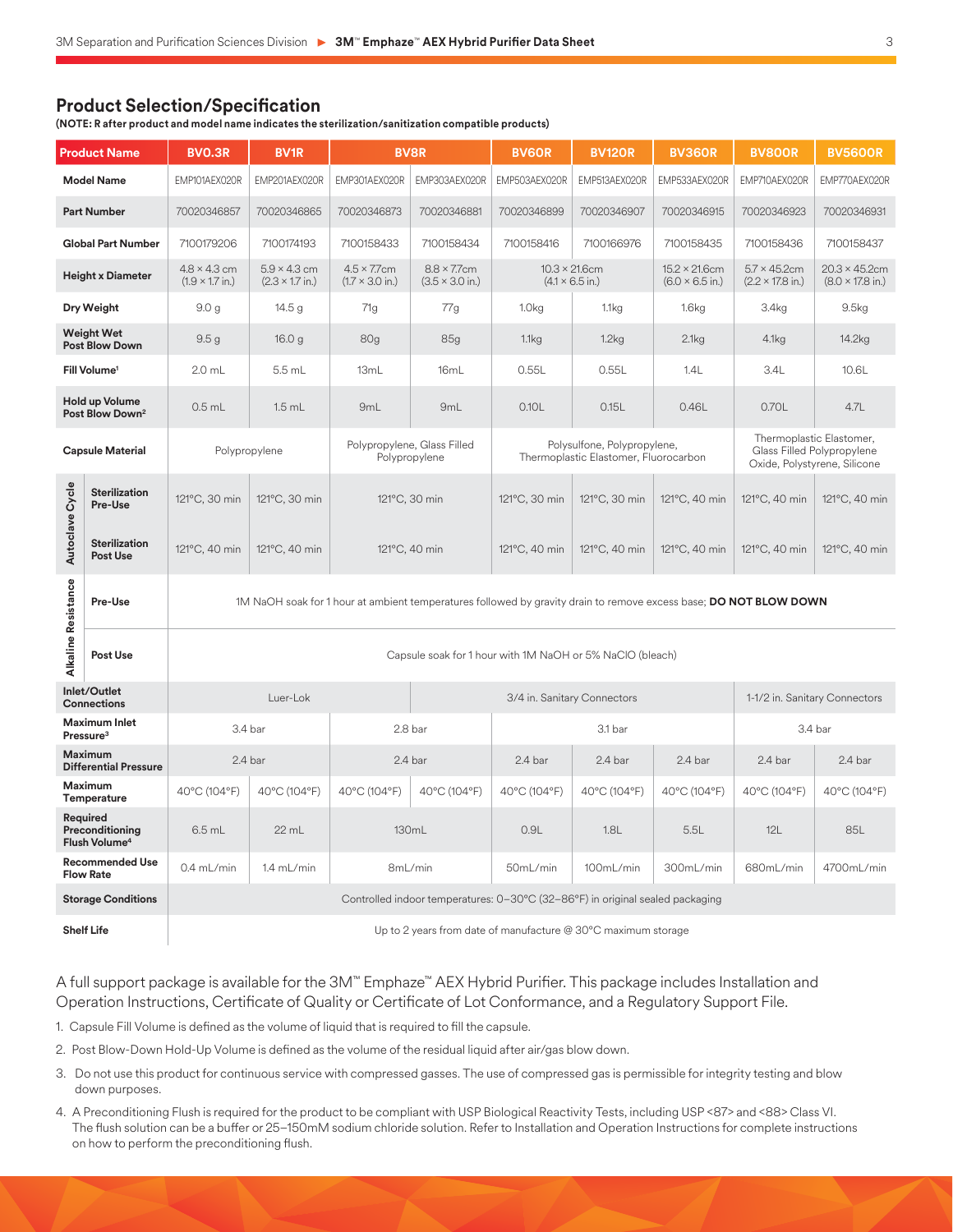## **Product Selection/Specification**

**(NOTE: R after product and model name indicates the sterilization/sanitization compatible products)**

| <b>Product Name</b>                                      |                                  | <b>BVO.3R</b>                                                                                                     | <b>BV1R</b>                                           | <b>BV8R</b>                                                                                                    |                             | <b>BV6OR</b>                                                         | <b>BV120R</b> | <b>BV360R</b>                                           | <b>BV800R</b>                                                                          | <b>BV5600R</b>                                           |
|----------------------------------------------------------|----------------------------------|-------------------------------------------------------------------------------------------------------------------|-------------------------------------------------------|----------------------------------------------------------------------------------------------------------------|-----------------------------|----------------------------------------------------------------------|---------------|---------------------------------------------------------|----------------------------------------------------------------------------------------|----------------------------------------------------------|
| <b>Model Name</b>                                        |                                  | EMP101AEX020R                                                                                                     | EMP201AEX020R                                         | EMP301AEX020R                                                                                                  | EMP303AEX020R               | EMP503AEX020R                                                        | EMP513AEX020R | EMP533AEX020R                                           | EMP710AEX020R                                                                          | EMP770AEX020R                                            |
| <b>Part Number</b>                                       |                                  | 70020346857                                                                                                       | 70020346865                                           | 70020346873                                                                                                    | 70020346881                 | 70020346899                                                          | 70020346907   | 70020346915                                             | 70020346923                                                                            | 70020346931                                              |
| <b>Global Part Number</b>                                |                                  | 7100179206                                                                                                        | 7100174193                                            | 7100158433                                                                                                     | 7100158434                  | 7100158416                                                           | 7100166976    | 7100158435                                              | 7100158436                                                                             | 7100158437                                               |
| <b>Height x Diameter</b>                                 |                                  | $4.8 \times 4.3$ cm<br>$(1.9 \times 1.7)$ in.)                                                                    | $5.9 \times 4.3$ cm<br>$(2.3 \times 1.7 \text{ in.})$ | $4.5 \times 7.7$ cm<br>$8.8 \times 7.7$ cm<br>$(1.7 \times 3.0 \text{ in.})$<br>$(3.5 \times 3.0 \text{ in.})$ |                             | $10.3 \times 21.6$ cm<br>$(4.1 \times 6.5 \text{ in.})$              |               | $15.2 \times 21.6$ cm<br>$(6.0 \times 6.5 \text{ in.})$ | $5.7 \times 45.2$ cm<br>$(2.2 \times 17.8 \text{ in.})$                                | $20.3 \times 45.2$ cm<br>$(8.0 \times 17.8 \text{ in.})$ |
| Dry Weight                                               |                                  | 9.0 <sub>g</sub>                                                                                                  | 14.5 <sub>g</sub>                                     | 71g                                                                                                            | 77g                         | 1.0 <sub>kg</sub>                                                    | 1.1kg         | 1.6kg                                                   | 3.4 <sub>kg</sub>                                                                      | 9.5kg                                                    |
| <b>Weight Wet</b><br><b>Post Blow Down</b>               |                                  | 9.5 <sub>g</sub>                                                                                                  | 16.0 <sub>g</sub>                                     | 80 <sub>g</sub>                                                                                                | 85g                         | 1.1kg                                                                | 1.2kg         | 2.1kg                                                   | 4.1kg                                                                                  | 14.2kg                                                   |
| Fill Volume <sup>1</sup>                                 |                                  | $2.0$ mL                                                                                                          | 5.5 mL                                                | 13mL                                                                                                           | 16mL                        | 0.55L                                                                | 0.55L         | 1.4L                                                    | 3.4L                                                                                   | 10.6L                                                    |
| <b>Hold up Volume</b><br>Post Blow Down <sup>2</sup>     |                                  | $0.5$ mL                                                                                                          | $1.5$ mL                                              | 9mL                                                                                                            | 9 <sub>mL</sub>             | 0.10L                                                                | 0.15L         | 0.46L                                                   | 0.70L                                                                                  | 4.7L                                                     |
| <b>Capsule Material</b>                                  |                                  | Polypropylene                                                                                                     |                                                       | Polypropylene, Glass Filled<br>Polypropylene                                                                   |                             | Polysulfone, Polypropylene,<br>Thermoplastic Elastomer, Fluorocarbon |               |                                                         | Thermoplastic Elastomer,<br>Glass Filled Polypropylene<br>Oxide, Polystyrene, Silicone |                                                          |
| Autoclave Cycle                                          | <b>Sterilization</b><br>Pre-Use  | 121°C, 30 min                                                                                                     | 121°C, 30 min                                         | 121°C, 30 min                                                                                                  |                             | 121°C, 30 min                                                        | 121°C, 30 min | 121°C, 40 min                                           | 121°C, 40 min                                                                          | 121°C, 40 min                                            |
|                                                          | <b>Sterilization</b><br>Post Use | 121°C, 40 min                                                                                                     | 121°C, 40 min                                         | 121°C, 40 min                                                                                                  |                             | 121°C, 40 min                                                        | 121°C, 40 min | 121°C, 40 min                                           | 121°C, 40 min                                                                          | 121°C, 40 min                                            |
| Alkaline Resistance                                      | Pre-Use                          | 1M NaOH soak for 1 hour at ambient temperatures followed by gravity drain to remove excess base; DO NOT BLOW DOWN |                                                       |                                                                                                                |                             |                                                                      |               |                                                         |                                                                                        |                                                          |
|                                                          | Post Use                         | Capsule soak for 1 hour with 1M NaOH or 5% NaClO (bleach)                                                         |                                                       |                                                                                                                |                             |                                                                      |               |                                                         |                                                                                        |                                                          |
| Inlet/Outlet<br><b>Connections</b>                       |                                  | Luer-Lok                                                                                                          |                                                       |                                                                                                                | 3/4 in. Sanitary Connectors |                                                                      |               |                                                         | 1-1/2 in. Sanitary Connectors                                                          |                                                          |
| Maximum Inlet<br>Pressure <sup>3</sup>                   |                                  | 3.4 bar                                                                                                           |                                                       | 2.8 bar                                                                                                        |                             | 3.1 bar                                                              |               |                                                         | 3.4 bar                                                                                |                                                          |
| <b>Maximum</b><br><b>Differential Pressure</b>           |                                  | 2.4 bar                                                                                                           |                                                       | 2.4 bar                                                                                                        |                             | 2.4 bar                                                              | 2.4 bar       | 2.4 bar                                                 | 2.4 bar                                                                                | 2.4 bar                                                  |
| <b>Maximum</b><br>Temperature                            |                                  | 40°C (104°F)                                                                                                      | 40°C (104°F)                                          | 40°C (104°F)                                                                                                   | 40°C (104°F)                | 40°C (104°F)                                                         | 40°C (104°F)  | 40°C (104°F)                                            | 40°C (104°F)                                                                           | 40°C (104°F)                                             |
| Required<br>Preconditioning<br>Flush Volume <sup>4</sup> |                                  | $6.5$ mL                                                                                                          | 22 mL                                                 | 130mL                                                                                                          |                             | 0.9L                                                                 | 1.8L          | 5.5L                                                    | 12L                                                                                    | 85L                                                      |
| <b>Recommended Use</b><br><b>Flow Rate</b>               |                                  | 0.4 mL/min                                                                                                        | 1.4 mL/min                                            | 8mL/min                                                                                                        |                             | 50mL/min                                                             | 100mL/min     | 300mL/min                                               | 680mL/min                                                                              | 4700mL/min                                               |
| <b>Storage Conditions</b>                                |                                  | Controlled indoor temperatures: 0-30°C (32-86°F) in original sealed packaging                                     |                                                       |                                                                                                                |                             |                                                                      |               |                                                         |                                                                                        |                                                          |

**Shelf Life** Shelf Life **Shelf Life** and Muslim of the 2 years from date of manufacture @ 30°C maximum storage

A full support package is available for the 3M™ Emphaze™ AEX Hybrid Purifier. This package includes Installation and Operation Instructions, Certificate of Quality or Certificate of Lot Conformance, and a Regulatory Support File.

1. Capsule Fill Volume is defined as the volume of liquid that is required to fill the capsule.

2. Post Blow-Down Hold-Up Volume is defined as the volume of the residual liquid after air/gas blow down.

- 3. Do not use this product for continuous service with compressed gasses. The use of compressed gas is permissible for integrity testing and blow down purposes.
- 4. A Preconditioning Flush is required for the product to be compliant with USP Biological Reactivity Tests, including USP <87> and <88> Class VI. The flush solution can be a buffer or 25–150mM sodium chloride solution. Refer to Installation and Operation Instructions for complete instructions on how to perform the preconditioning flush.